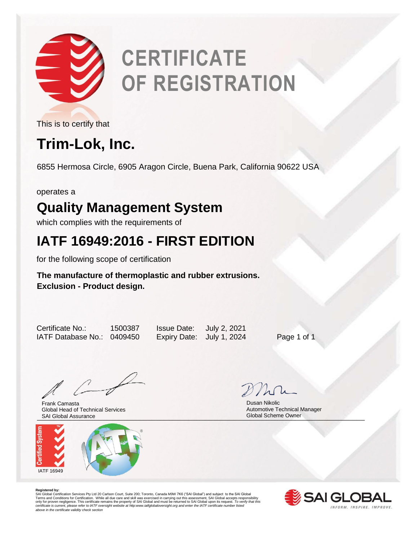

# **CERTIFICATE OF REGISTRATION**

This is to certify that

## **Trim-Lok, Inc.**

6855 Hermosa Circle, 6905 Aragon Circle, Buena Park, California 90622 USA

operates a

#### **Quality Management System**

which complies with the requirements of

#### **IATF 16949:2016 - FIRST EDITION**

for the following scope of certification

#### **The manufacture of thermoplastic and rubber extrusions. Exclusion - Product design.**

Certificate No.: 1500387 Issue Date: July 2, 2021 IATF Database No.: 0409450 Expiry Date: July 1, 2024 Page 1 of 1

and Global Assurance and Clobal Scheme Owner Clobal Scheme Owner Frank Camasta Global Head of Technical Services



 Dusan Nikolic Automotive Technical Manager Global Scheme Owner

**Registered by:**<br>SAI Global Certification Services Pty Ltd 20 Carlson Court, Suite 200; Toronto, Canada M9W 7K6 ("SAI Global") and subject to the SAI Global<br>Terms and Conditions for Certification. While all due care and sk *certificate is current, please refer to IATF oversight website at http:www.iatfglobaloversight.org and enter the IATF certificate number listed above in the certificate validity check section*